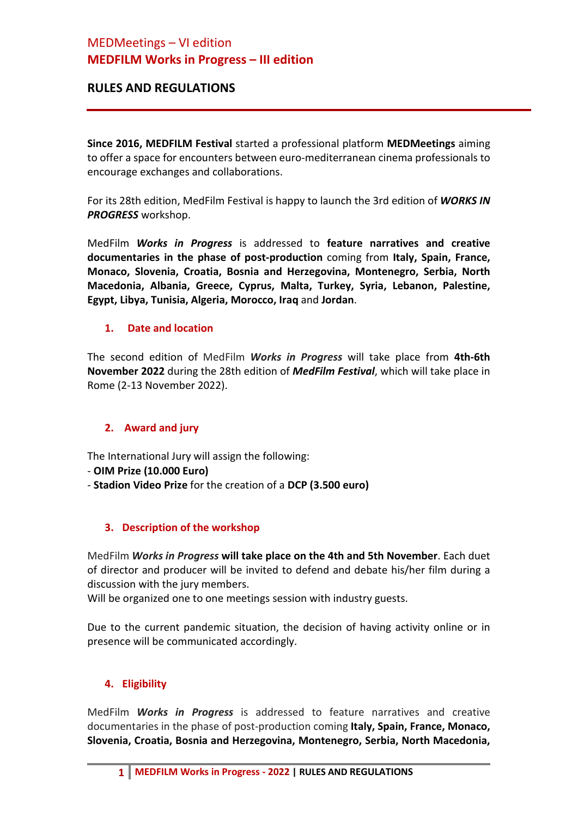# MEDMeetings – VI edition **MEDFILM Works in Progress – III edition**

## **RULES AND REGULATIONS**

**Since 2016, MEDFILM Festival** started a professional platform **MEDMeetings** aiming to offer a space for encounters between euro-mediterranean cinema professionals to encourage exchanges and collaborations.

For its 28th edition, MedFilm Festival is happy to launch the 3rd edition of *WORKS IN PROGRESS* workshop.

MedFilm *Works in Progress* is addressed to **feature narratives and creative documentaries in the phase of post-production** coming from **Italy, Spain, France, Monaco, Slovenia, Croatia, Bosnia and Herzegovina, Montenegro, Serbia, North Macedonia, Albania, Greece, Cyprus, Malta, Turkey, Syria, Lebanon, Palestine, Egypt, Libya, Tunisia, Algeria, Morocco, Iraq** and **Jordan**.

#### **1. Date and location**

The second edition of MedFilm *Works in Progress* will take place from **4th-6th November 2022** during the 28th edition of *MedFilm Festival*, which will take place in Rome (2-13 November 2022).

## **2. Award and jury**

The International Jury will assign the following:

- **OIM Prize (10.000 Euro)**
- **Stadion Video Prize** for the creation of a **DCP (3.500 euro)**

## **3. Description of the workshop**

MedFilm *Works in Progress* **will take place on the 4th and 5th November**. Each duet of director and producer will be invited to defend and debate his/her film during a discussion with the jury members.

Will be organized one to one meetings session with industry guests.

Due to the current pandemic situation, the decision of having activity online or in presence will be communicated accordingly.

## **4. Eligibility**

MedFilm *Works in Progress* is addressed to feature narratives and creative documentaries in the phase of post-production coming **Italy, Spain, France, Monaco, Slovenia, Croatia, Bosnia and Herzegovina, Montenegro, Serbia, North Macedonia,**